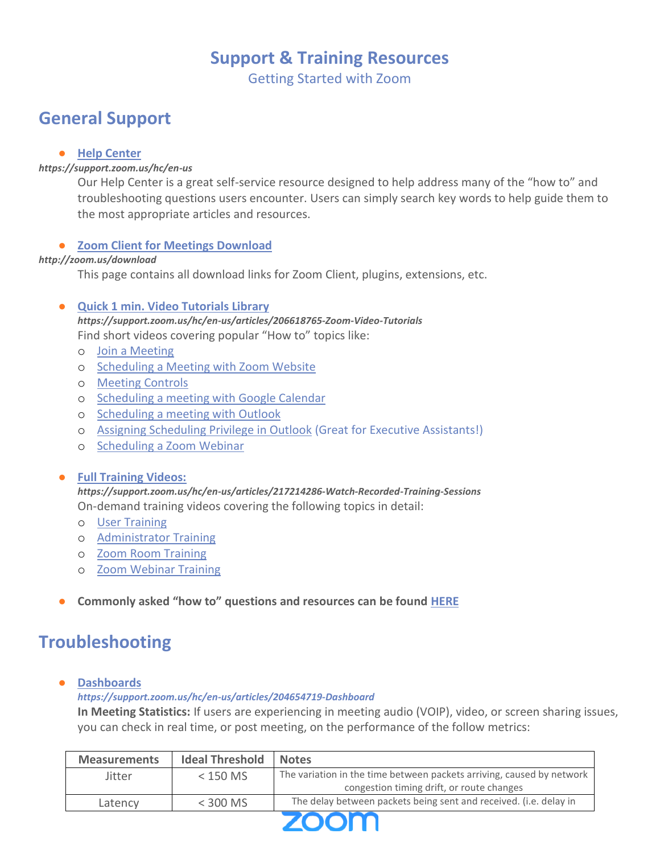## **Support & Training Resources**

Getting Started with Zoom

# **General Support**

## ● **[Help Center](https://support.zoom.us/hc/en-us)**

## *https://support.zoom.us/hc/en-us*

Our Help Center is a great self-service resource designed to help address many of the "how to" and troubleshooting questions users encounter. Users can simply search key words to help guide them to the most appropriate articles and resources.

## ● **[Zoom Client for Meetings Download](https://zoom.us/download)**

### *http://zoom.us/download*

This page contains all download links for Zoom Client, plugins, extensions, etc.

## ● **[Quick 1 min. Video Tutorials Library](https://support.zoom.us/hc/en-us/articles/206618765-Zoom-Video-Tutorials)**

*https://support.zoom.us/hc/en-us/articles/206618765-Zoom-Video-Tutorials* Find short videos covering popular "How to" topics like:

- o [Join a Meeting](https://www.youtube.com/embed/vFhAEoCF7jg?rel=0&autoplay=1&cc_load_policy=1)
- o [Scheduling a Meeting with Zoom Website](https://www.youtube.com/embed/ZAYv8sVPTxU?rel=0&autoplay=1&cc_load_policy=1)
- o [Meeting Controls](https://www.youtube.com/embed/4w_pRMBEALE?rel=0&autoplay=1&cc_load_policy=1)
- o [Scheduling a meeting with Google Calendar](https://www.youtube.com/embed/E0XmIIXcrEY?rel=0&autoplay=1&cc_load_policy=1)
- o [Scheduling a meeting with Outlook](https://www.youtube.com/embed/m1WNR_Rv0-c?rel=0&autoplay=1&cc_load_policy=1)
- o [Assigning Scheduling Privilege in Outlook](https://www.youtube.com/embed/92qdytsYZPg?rel=0&autoplay=1&cc_load_policy=1) (Great for Executive Assistants!)
- o [Scheduling a Zoom Webinar](https://www.youtube.com/embed/4CS8Egkagac?rel=0&autoplay=1&cc_load_policy=1)

### ● **[Full Training Videos:](https://support.zoom.us/hc/en-us/articles/217214286-Watch-Recorded-Training-Sessions)**

*https://support.zoom.us/hc/en-us/articles/217214286-Watch-Recorded-Training-Sessions* On-demand training videos covering the following topics in detail:

- o [User Training](https://zoom.us/recording/play/uOCYSQWHY3lgdCvJWQQDdTl3JjFSQO_x6ZlmcpS6coNwGgqhRcH8FrLQ8AA93UUb)
- o [Administrator Training](https://zoom.us/recording/play/dr3Zan1JbuiXv9DRe0T0f3gd-1hJ7Nq8F_p8a9t5poEQBIvd_YAq6CXOQTbfRb8e)
- o [Zoom Room Training](https://zoom.us/recording/play/2UEiMlFhmYYoiQnKO74JdFULLaVr2rmDaWjqTnYtausSMyZpCrSki6CQ0RKWYG-2)
- o [Zoom Webinar Training](https://zoom.us/recording/play/x6I7fhelB9sZAf4bnFxndW0MuoVuItobKCGTTAD9SD93xGId_Q32uCrr-bSCtTUj)
- **Commonly asked "how to" questions and resources can be found [HERE](https://support.zoom.us/hc/en-us/articles/206175806-Top-Questions)**

# **Troubleshooting**

● **[Dashboards](https://support.zoom.us/hc/en-us/articles/204654719-Dashboard)** 

*https://support.zoom.us/hc/en-us/articles/204654719-Dashboard*

**In Meeting Statistics:** If users are experiencing in meeting audio (VOIP), video, or screen sharing issues, you can check in real time, or post meeting, on the performance of the follow metrics:

| <b>Measurements</b> | <b>Ideal Threshold</b> | <b>Notes</b>                                                          |
|---------------------|------------------------|-----------------------------------------------------------------------|
| <b>Jitter</b>       | $<$ 150 MS             | The variation in the time between packets arriving, caused by network |
|                     |                        | congestion timing drift, or route changes                             |
| Latencv             | $<$ 300 MS             | The delay between packets being sent and received. (i.e. delay in     |
|                     |                        |                                                                       |

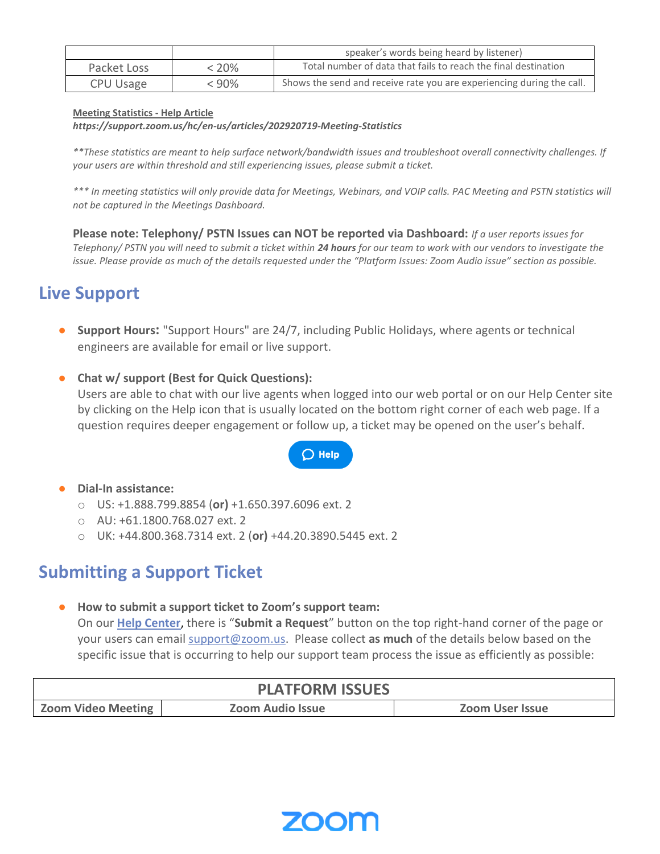|                  |       | speaker's words being heard by listener)                              |  |  |
|------------------|-------|-----------------------------------------------------------------------|--|--|
| Packet Loss      | - 20% | Total number of data that fails to reach the final destination        |  |  |
| <b>CPU Usage</b> | - 90% | Shows the send and receive rate you are experiencing during the call. |  |  |

#### **[Meeting Statistics -](https://support.zoom.us/hc/en-us/articles/202920719-Meeting-Statistics) Help Article**

*https://support.zoom.us/hc/en-us/articles/202920719-Meeting-Statistics*

*\*\*These statistics are meant to help surface network/bandwidth issues and troubleshoot overall connectivity challenges. If your users are within threshold and still experiencing issues, please submit a ticket.*

*\*\*\* In meeting statistics will only provide data for Meetings, Webinars, and VOIP calls. PAC Meeting and PSTN statistics will not be captured in the Meetings Dashboard.* 

**Please note: Telephony/ PSTN Issues can NOT be reported via Dashboard:** *If a user reports issues for Telephony/ PSTN you will need to submit a ticket within 24 hours for our team to work with our vendors to investigate the issue. Please provide as much of the details requested under the "Platform Issues: Zoom Audio issue" section as possible.* 

## **Live Support**

- **Support Hours:** "Support Hours" are 24/7, including Public Holidays, where agents or technical engineers are available for email or live support.
- **Chat w/ support (Best for Quick Questions):**

Users are able to chat with our live agents when logged into our web portal or on our Help Center site by clicking on the Help icon that is usually located on the bottom right corner of each web page. If a question requires deeper engagement or follow up, a ticket may be opened on the user's behalf.

## $\bigcirc$  Help

### ● **Dial-In assistance:**

- o US: +1.888.799.8854 (**or)** +1.650.397.6096 ext. 2
- o AU: +61.1800.768.027 ext. 2
- o UK: +44.800.368.7314 ext. 2 (**or)** +44.20.3890.5445 ext. 2

## **Submitting a Support Ticket**

● **How to submit a support ticket to Zoom's support team:** 

On our **[Help Center](https://support.zoom.us/hc/en-us)**, there is "**Submit a Request**" button on the top right-hand corner of the page or your users can email [support@zoom.us.](mailto:support@zoom.us) Please collect **as much** of the details below based on the specific issue that is occurring to help our support team process the issue as efficiently as possible:

| <b>PLATFORM ISSUES</b>    |                         |                 |  |  |
|---------------------------|-------------------------|-----------------|--|--|
| <b>Zoom Video Meeting</b> | <b>Zoom Audio Issue</b> | Zoom User Issue |  |  |

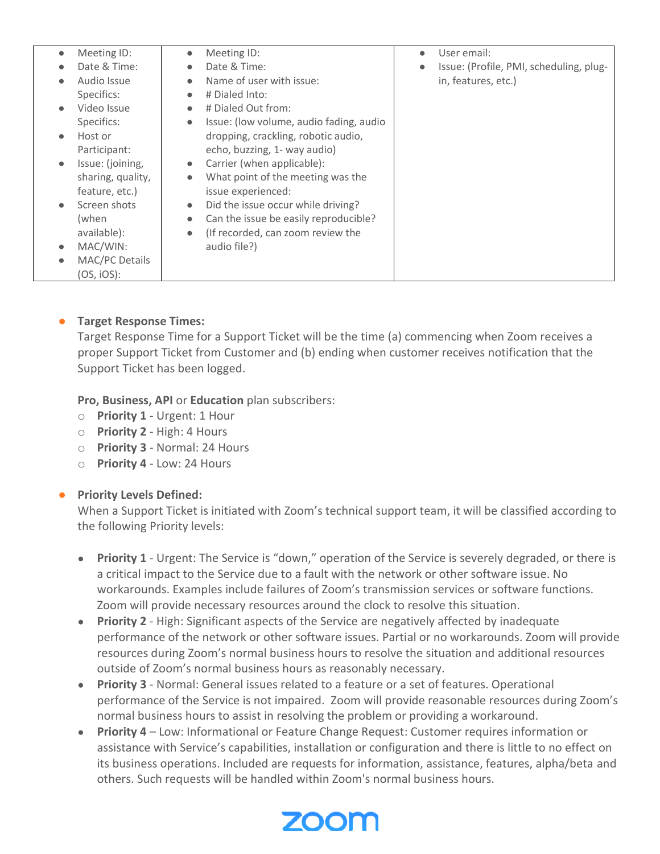| Meeting ID:<br>$\bullet$ | $\bullet$                      | Meeting ID:                             | $\bullet$ | User email:                             |
|--------------------------|--------------------------------|-----------------------------------------|-----------|-----------------------------------------|
|                          | Date & Time:<br>$\bullet$      | Date & Time:                            |           | Issue: (Profile, PMI, scheduling, plug- |
| Audio Issue              | $\bullet$                      | Name of user with issue:                |           | in, features, etc.)                     |
| Specifics:               | $\bullet$                      | # Dialed Into:                          |           |                                         |
| Video Issue<br>$\bullet$ | $\bullet$                      | # Dialed Out from:                      |           |                                         |
| Specifics:               | $\bullet$                      | Issue: (low volume, audio fading, audio |           |                                         |
| Host or                  |                                | dropping, crackling, robotic audio,     |           |                                         |
| Participant:             |                                | echo, buzzing, 1- way audio)            |           |                                         |
| $\bullet$                | Issue: (joining,<br>$\bullet$  | Carrier (when applicable):              |           |                                         |
|                          | sharing, quality,<br>$\bullet$ | What point of the meeting was the       |           |                                         |
|                          | feature, etc.)                 | issue experienced:                      |           |                                         |
|                          | Screen shots<br>$\bullet$      | Did the issue occur while driving?      |           |                                         |
| (when                    | $\bullet$                      | Can the issue be easily reproducible?   |           |                                         |
| available):              | $\bullet$                      | (If recorded, can zoom review the       |           |                                         |
| MAC/WIN:<br>$\bullet$    |                                | audio file?)                            |           |                                         |
|                          | MAC/PC Details                 |                                         |           |                                         |
| $(OS, iOS)$ :            |                                |                                         |           |                                         |

## ● **Target Response Times:**

Target Response Time for a Support Ticket will be the time (a) commencing when Zoom receives a proper Support Ticket from Customer and (b) ending when customer receives notification that the Support Ticket has been logged.

**Pro, Business, API** or **Education** plan subscribers:

- o **Priority 1** Urgent: 1 Hour
- o **Priority 2** High: 4 Hours
- o **Priority 3** Normal: 24 Hours
- o **Priority 4** Low: 24 Hours

## ● **Priority Levels Defined:**

When a Support Ticket is initiated with Zoom's technical support team, it will be classified according to the following Priority levels:

- **Priority 1** Urgent: The Service is "down," operation of the Service is severely degraded, or there is a critical impact to the Service due to a fault with the network or other software issue. No workarounds. Examples include failures of Zoom's transmission services or software functions. Zoom will provide necessary resources around the clock to resolve this situation.
- **Priority 2** High: Significant aspects of the Service are negatively affected by inadequate performance of the network or other software issues. Partial or no workarounds. Zoom will provide resources during Zoom's normal business hours to resolve the situation and additional resources outside of Zoom's normal business hours as reasonably necessary.
- **Priority 3** Normal: General issues related to a feature or a set of features. Operational performance of the Service is not impaired. Zoom will provide reasonable resources during Zoom's normal business hours to assist in resolving the problem or providing a workaround.
- **Priority 4** Low: Informational or Feature Change Request: Customer requires information or assistance with Service's capabilities, installation or configuration and there is little to no effect on its business operations. Included are requests for information, assistance, features, alpha/beta and others. Such requests will be handled within Zoom's normal business hours.